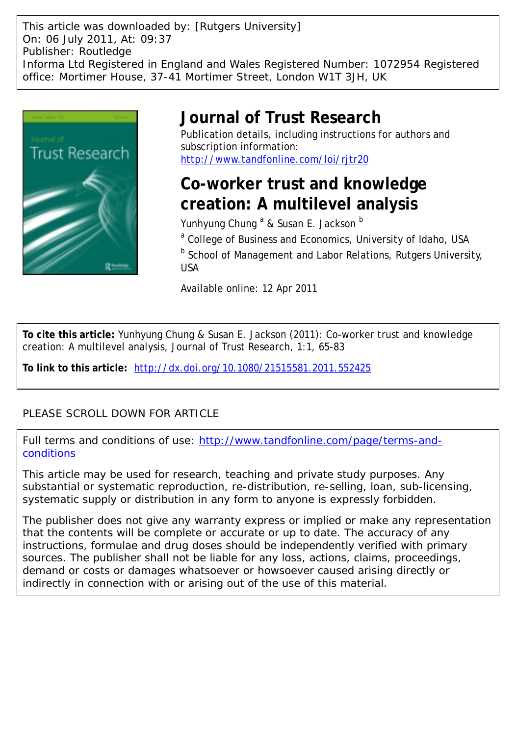This article was downloaded by: [Rutgers University] On: 06 July 2011, At: 09:37 Publisher: Routledge Informa Ltd Registered in England and Wales Registered Number: 1072954 Registered office: Mortimer House, 37-41 Mortimer Street, London W1T 3JH, UK



## **Journal of Trust Research**

Publication details, including instructions for authors and subscription information: <http://www.tandfonline.com/loi/rjtr20>

# **Co-worker trust and knowledge creation: A multilevel analysis**

Yunhyung Chung <sup>a</sup> & Susan E. Jackson <sup>b</sup> <sup>a</sup> College of Business and Economics, University of Idaho, USA **b** School of Management and Labor Relations, Rutgers University, USA

Available online: 12 Apr 2011

**To cite this article:** Yunhyung Chung & Susan E. Jackson (2011): Co-worker trust and knowledge creation: A multilevel analysis, Journal of Trust Research, 1:1, 65-83

**To link to this article:** <http://dx.doi.org/10.1080/21515581.2011.552425>

### PLEASE SCROLL DOWN FOR ARTICLE

Full terms and conditions of use: [http://www.tandfonline.com/page/terms-and](http://www.tandfonline.com/page/terms-and-conditions)[conditions](http://www.tandfonline.com/page/terms-and-conditions)

This article may be used for research, teaching and private study purposes. Any substantial or systematic reproduction, re-distribution, re-selling, loan, sub-licensing, systematic supply or distribution in any form to anyone is expressly forbidden.

The publisher does not give any warranty express or implied or make any representation that the contents will be complete or accurate or up to date. The accuracy of any instructions, formulae and drug doses should be independently verified with primary sources. The publisher shall not be liable for any loss, actions, claims, proceedings, demand or costs or damages whatsoever or howsoever caused arising directly or indirectly in connection with or arising out of the use of this material.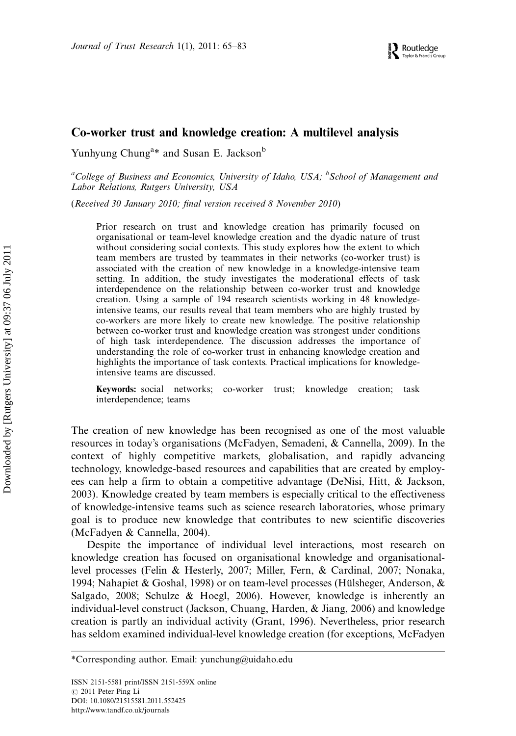### Co-worker trust and knowledge creation: A multilevel analysis

Yunhyung Chung<sup>a\*</sup> and Susan E. Jackson<sup>b</sup>

<sup>a</sup>College of Business and Economics, University of Idaho, USA; <sup>b</sup>School of Management and Labor Relations, Rutgers University, USA

(Received 30 January 2010; final version received 8 November 2010)

Prior research on trust and knowledge creation has primarily focused on organisational or team-level knowledge creation and the dyadic nature of trust without considering social contexts. This study explores how the extent to which team members are trusted by teammates in their networks (co-worker trust) is associated with the creation of new knowledge in a knowledge-intensive team setting. In addition, the study investigates the moderational effects of task interdependence on the relationship between co-worker trust and knowledge creation. Using a sample of 194 research scientists working in 48 knowledgeintensive teams, our results reveal that team members who are highly trusted by co-workers are more likely to create new knowledge. The positive relationship between co-worker trust and knowledge creation was strongest under conditions of high task interdependence. The discussion addresses the importance of understanding the role of co-worker trust in enhancing knowledge creation and highlights the importance of task contexts. Practical implications for knowledgeintensive teams are discussed.

Keywords: social networks; co-worker trust; knowledge creation; task interdependence; teams

The creation of new knowledge has been recognised as one of the most valuable resources in today's organisations (McFadyen, Semadeni, & Cannella, 2009). In the context of highly competitive markets, globalisation, and rapidly advancing technology, knowledge-based resources and capabilities that are created by employees can help a firm to obtain a competitive advantage (DeNisi, Hitt, & Jackson, 2003). Knowledge created by team members is especially critical to the effectiveness of knowledge-intensive teams such as science research laboratories, whose primary goal is to produce new knowledge that contributes to new scientific discoveries (McFadyen & Cannella, 2004).

Despite the importance of individual level interactions, most research on knowledge creation has focused on organisational knowledge and organisationallevel processes (Felin & Hesterly, 2007; Miller, Fern, & Cardinal, 2007; Nonaka, 1994; Nahapiet & Goshal, 1998) or on team-level processes (Hülsheger, Anderson,  $\&$ Salgado, 2008; Schulze & Hoegl, 2006). However, knowledge is inherently an individual-level construct (Jackson, Chuang, Harden, & Jiang, 2006) and knowledge creation is partly an individual activity (Grant, 1996). Nevertheless, prior research has seldom examined individual-level knowledge creation (for exceptions, McFadyen

<sup>\*</sup>Corresponding author. Email: yunchung@uidaho.edu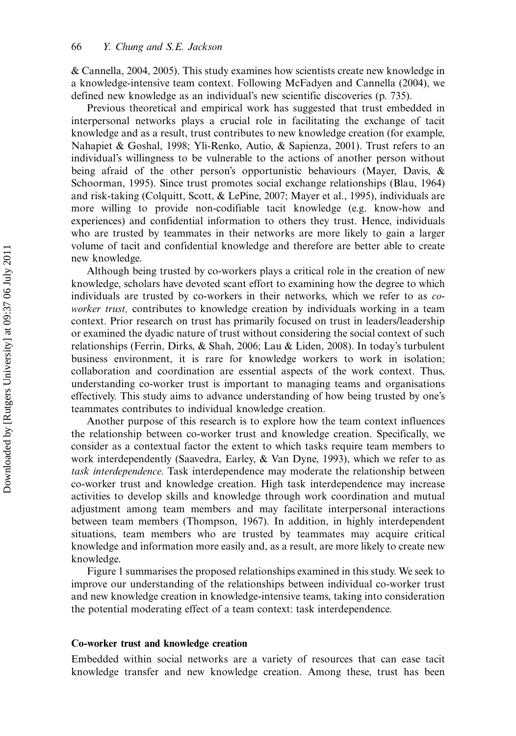& Cannella, 2004, 2005). This study examines how scientists create new knowledge in a knowledge-intensive team context. Following McFadyen and Cannella (2004), we defined new knowledge as an individual's new scientific discoveries (p. 735).

Previous theoretical and empirical work has suggested that trust embedded in interpersonal networks plays a crucial role in facilitating the exchange of tacit knowledge and as a result, trust contributes to new knowledge creation (for example, Nahapiet & Goshal, 1998; Yli-Renko, Autio, & Sapienza, 2001). Trust refers to an individual's willingness to be vulnerable to the actions of another person without being afraid of the other person's opportunistic behaviours (Mayer, Davis, & Schoorman, 1995). Since trust promotes social exchange relationships (Blau, 1964) and risk-taking (Colquitt, Scott, & LePine, 2007; Mayer et al., 1995), individuals are more willing to provide non-codifiable tacit knowledge (e.g. know-how and experiences) and confidential information to others they trust. Hence, individuals who are trusted by teammates in their networks are more likely to gain a larger volume of tacit and confidential knowledge and therefore are better able to create new knowledge.

Although being trusted by co-workers plays a critical role in the creation of new knowledge, scholars have devoted scant effort to examining how the degree to which individuals are trusted by co-workers in their networks, which we refer to as coworker trust, contributes to knowledge creation by individuals working in a team context. Prior research on trust has primarily focused on trust in leaders/leadership or examined the dyadic nature of trust without considering the social context of such relationships (Ferrin, Dirks, & Shah, 2006; Lau & Liden, 2008). In today's turbulent business environment, it is rare for knowledge workers to work in isolation; collaboration and coordination are essential aspects of the work context. Thus, understanding co-worker trust is important to managing teams and organisations effectively. This study aims to advance understanding of how being trusted by one's teammates contributes to individual knowledge creation.

Another purpose of this research is to explore how the team context influences the relationship between co-worker trust and knowledge creation. Specifically, we consider as a contextual factor the extent to which tasks require team members to work interdependently (Saavedra, Earley, & Van Dyne, 1993), which we refer to as task interdependence. Task interdependence may moderate the relationship between co-worker trust and knowledge creation. High task interdependence may increase activities to develop skills and knowledge through work coordination and mutual adjustment among team members and may facilitate interpersonal interactions between team members (Thompson, 1967). In addition, in highly interdependent situations, team members who are trusted by teammates may acquire critical knowledge and information more easily and, as a result, are more likely to create new knowledge.

Figure 1 summarises the proposed relationships examined in this study. We seek to improve our understanding of the relationships between individual co-worker trust and new knowledge creation in knowledge-intensive teams, taking into consideration the potential moderating effect of a team context: task interdependence.

#### Co-worker trust and knowledge creation

Embedded within social networks are a variety of resources that can ease tacit knowledge transfer and new knowledge creation. Among these, trust has been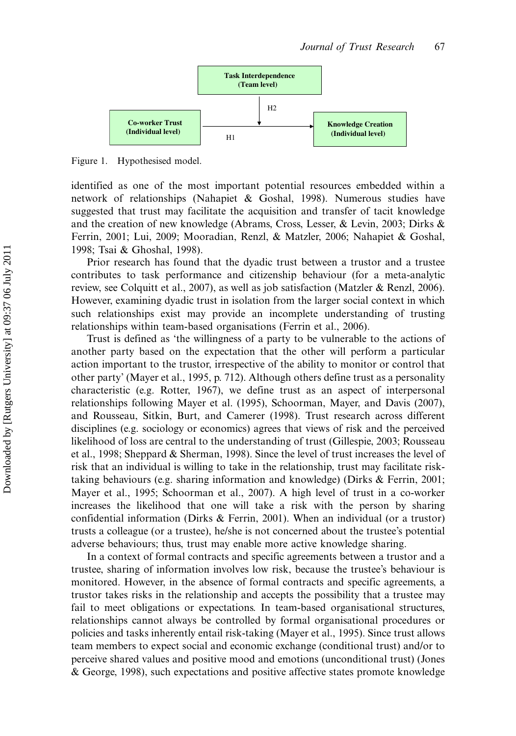

Figure 1. Hypothesised model.

identified as one of the most important potential resources embedded within a network of relationships (Nahapiet & Goshal, 1998). Numerous studies have suggested that trust may facilitate the acquisition and transfer of tacit knowledge and the creation of new knowledge (Abrams, Cross, Lesser, & Levin, 2003; Dirks & Ferrin, 2001; Lui, 2009; Mooradian, Renzl, & Matzler, 2006; Nahapiet & Goshal, 1998; Tsai & Ghoshal, 1998).

Prior research has found that the dyadic trust between a trustor and a trustee contributes to task performance and citizenship behaviour (for a meta-analytic review, see Colquitt et al., 2007), as well as job satisfaction (Matzler & Renzl, 2006). However, examining dyadic trust in isolation from the larger social context in which such relationships exist may provide an incomplete understanding of trusting relationships within team-based organisations (Ferrin et al., 2006).

Trust is defined as 'the willingness of a party to be vulnerable to the actions of another party based on the expectation that the other will perform a particular action important to the trustor, irrespective of the ability to monitor or control that other party' (Mayer et al., 1995, p. 712). Although others define trust as a personality characteristic (e.g. Rotter, 1967), we define trust as an aspect of interpersonal relationships following Mayer et al. (1995), Schoorman, Mayer, and Davis (2007), and Rousseau, Sitkin, Burt, and Camerer (1998). Trust research across different disciplines (e.g. sociology or economics) agrees that views of risk and the perceived likelihood of loss are central to the understanding of trust (Gillespie, 2003; Rousseau et al., 1998; Sheppard & Sherman, 1998). Since the level of trust increases the level of risk that an individual is willing to take in the relationship, trust may facilitate risktaking behaviours (e.g. sharing information and knowledge) (Dirks & Ferrin, 2001; Mayer et al., 1995; Schoorman et al., 2007). A high level of trust in a co-worker increases the likelihood that one will take a risk with the person by sharing confidential information (Dirks & Ferrin, 2001). When an individual (or a trustor) trusts a colleague (or a trustee), he/she is not concerned about the trustee's potential adverse behaviours; thus, trust may enable more active knowledge sharing.

In a context of formal contracts and specific agreements between a trustor and a trustee, sharing of information involves low risk, because the trustee's behaviour is monitored. However, in the absence of formal contracts and specific agreements, a trustor takes risks in the relationship and accepts the possibility that a trustee may fail to meet obligations or expectations. In team-based organisational structures, relationships cannot always be controlled by formal organisational procedures or policies and tasks inherently entail risk-taking (Mayer et al., 1995). Since trust allows team members to expect social and economic exchange (conditional trust) and/or to perceive shared values and positive mood and emotions (unconditional trust) (Jones & George, 1998), such expectations and positive affective states promote knowledge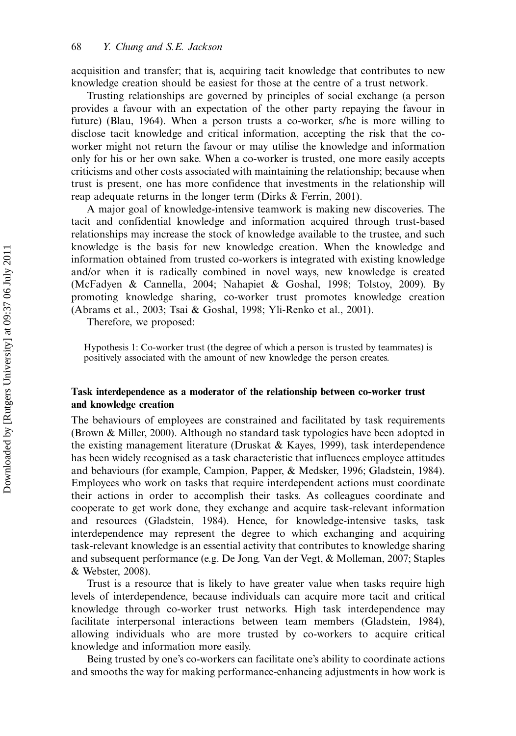acquisition and transfer; that is, acquiring tacit knowledge that contributes to new knowledge creation should be easiest for those at the centre of a trust network.

Trusting relationships are governed by principles of social exchange (a person provides a favour with an expectation of the other party repaying the favour in future) (Blau, 1964). When a person trusts a co-worker, s/he is more willing to disclose tacit knowledge and critical information, accepting the risk that the coworker might not return the favour or may utilise the knowledge and information only for his or her own sake. When a co-worker is trusted, one more easily accepts criticisms and other costs associated with maintaining the relationship; because when trust is present, one has more confidence that investments in the relationship will reap adequate returns in the longer term (Dirks & Ferrin, 2001).

A major goal of knowledge-intensive teamwork is making new discoveries. The tacit and confidential knowledge and information acquired through trust-based relationships may increase the stock of knowledge available to the trustee, and such knowledge is the basis for new knowledge creation. When the knowledge and information obtained from trusted co-workers is integrated with existing knowledge and/or when it is radically combined in novel ways, new knowledge is created (McFadyen & Cannella, 2004; Nahapiet & Goshal, 1998; Tolstoy, 2009). By promoting knowledge sharing, co-worker trust promotes knowledge creation (Abrams et al., 2003; Tsai & Goshal, 1998; Yli-Renko et al., 2001).

Therefore, we proposed:

Hypothesis 1: Co-worker trust (the degree of which a person is trusted by teammates) is positively associated with the amount of new knowledge the person creates.

#### Task interdependence as a moderator of the relationship between co-worker trust and knowledge creation

The behaviours of employees are constrained and facilitated by task requirements (Brown & Miller, 2000). Although no standard task typologies have been adopted in the existing management literature (Druskat & Kayes, 1999), task interdependence has been widely recognised as a task characteristic that influences employee attitudes and behaviours (for example, Campion, Papper, & Medsker, 1996; Gladstein, 1984). Employees who work on tasks that require interdependent actions must coordinate their actions in order to accomplish their tasks. As colleagues coordinate and cooperate to get work done, they exchange and acquire task-relevant information and resources (Gladstein, 1984). Hence, for knowledge-intensive tasks, task interdependence may represent the degree to which exchanging and acquiring task-relevant knowledge is an essential activity that contributes to knowledge sharing and subsequent performance (e.g. De Jong, Van der Vegt, & Molleman, 2007; Staples & Webster, 2008).

Trust is a resource that is likely to have greater value when tasks require high levels of interdependence, because individuals can acquire more tacit and critical knowledge through co-worker trust networks. High task interdependence may facilitate interpersonal interactions between team members (Gladstein, 1984), allowing individuals who are more trusted by co-workers to acquire critical knowledge and information more easily.

Being trusted by one's co-workers can facilitate one's ability to coordinate actions and smooths the way for making performance-enhancing adjustments in how work is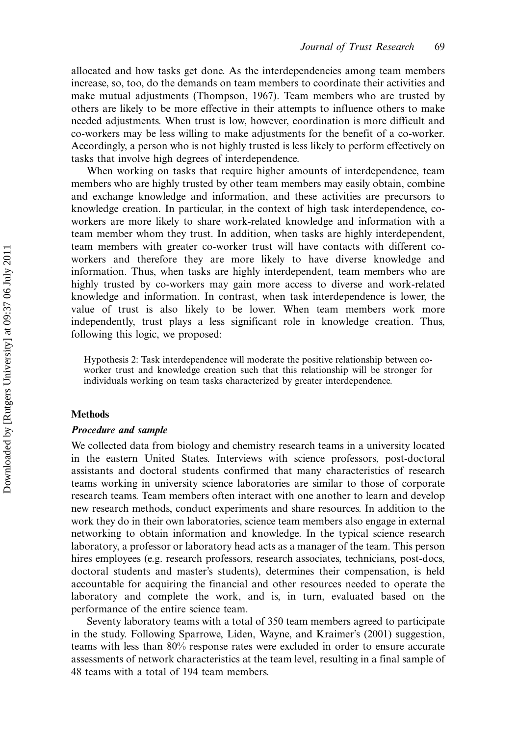allocated and how tasks get done. As the interdependencies among team members increase, so, too, do the demands on team members to coordinate their activities and make mutual adjustments (Thompson, 1967). Team members who are trusted by others are likely to be more effective in their attempts to influence others to make needed adjustments. When trust is low, however, coordination is more difficult and co-workers may be less willing to make adjustments for the benefit of a co-worker. Accordingly, a person who is not highly trusted is less likely to perform effectively on tasks that involve high degrees of interdependence.

When working on tasks that require higher amounts of interdependence, team members who are highly trusted by other team members may easily obtain, combine and exchange knowledge and information, and these activities are precursors to knowledge creation. In particular, in the context of high task interdependence, coworkers are more likely to share work-related knowledge and information with a team member whom they trust. In addition, when tasks are highly interdependent, team members with greater co-worker trust will have contacts with different coworkers and therefore they are more likely to have diverse knowledge and information. Thus, when tasks are highly interdependent, team members who are highly trusted by co-workers may gain more access to diverse and work-related knowledge and information. In contrast, when task interdependence is lower, the value of trust is also likely to be lower. When team members work more independently, trust plays a less significant role in knowledge creation. Thus, following this logic, we proposed:

Hypothesis 2: Task interdependence will moderate the positive relationship between coworker trust and knowledge creation such that this relationship will be stronger for individuals working on team tasks characterized by greater interdependence.

#### **Methods**

#### Procedure and sample

We collected data from biology and chemistry research teams in a university located in the eastern United States. Interviews with science professors, post-doctoral assistants and doctoral students confirmed that many characteristics of research teams working in university science laboratories are similar to those of corporate research teams. Team members often interact with one another to learn and develop new research methods, conduct experiments and share resources. In addition to the work they do in their own laboratories, science team members also engage in external networking to obtain information and knowledge. In the typical science research laboratory, a professor or laboratory head acts as a manager of the team. This person hires employees (e.g. research professors, research associates, technicians, post-docs, doctoral students and master's students), determines their compensation, is held accountable for acquiring the financial and other resources needed to operate the laboratory and complete the work, and is, in turn, evaluated based on the performance of the entire science team.

Seventy laboratory teams with a total of 350 team members agreed to participate in the study. Following Sparrowe, Liden, Wayne, and Kraimer's (2001) suggestion, teams with less than 80% response rates were excluded in order to ensure accurate assessments of network characteristics at the team level, resulting in a final sample of 48 teams with a total of 194 team members.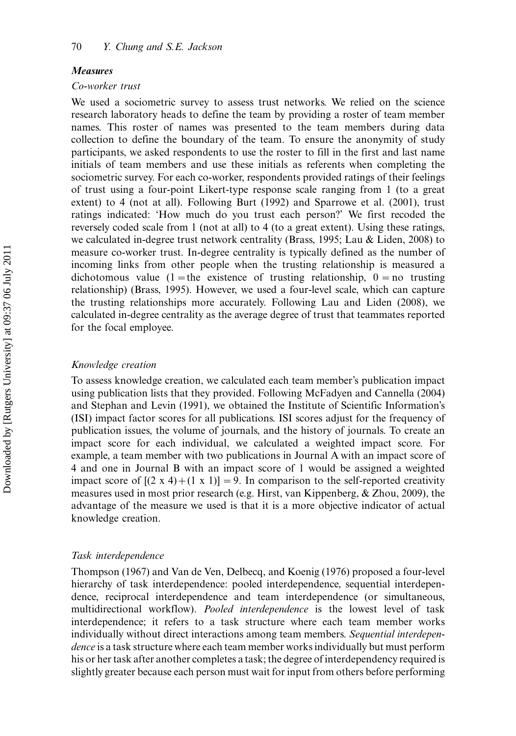#### Measures

#### Co-worker trust

We used a sociometric survey to assess trust networks. We relied on the science research laboratory heads to define the team by providing a roster of team member names. This roster of names was presented to the team members during data collection to define the boundary of the team. To ensure the anonymity of study participants, we asked respondents to use the roster to fill in the first and last name initials of team members and use these initials as referents when completing the sociometric survey. For each co-worker, respondents provided ratings of their feelings of trust using a four-point Likert-type response scale ranging from 1 (to a great extent) to 4 (not at all). Following Burt (1992) and Sparrowe et al. (2001), trust ratings indicated: 'How much do you trust each person?' We first recoded the reversely coded scale from 1 (not at all) to 4 (to a great extent). Using these ratings, we calculated in-degree trust network centrality (Brass, 1995; Lau & Liden, 2008) to measure co-worker trust. In-degree centrality is typically defined as the number of incoming links from other people when the trusting relationship is measured a dichotomous value (1 = the existence of trusting relationship,  $0 =$  no trusting relationship) (Brass, 1995). However, we used a four-level scale, which can capture the trusting relationships more accurately. Following Lau and Liden (2008), we calculated in-degree centrality as the average degree of trust that teammates reported for the focal employee.

#### Knowledge creation

To assess knowledge creation, we calculated each team member's publication impact using publication lists that they provided. Following McFadyen and Cannella (2004) and Stephan and Levin (1991), we obtained the Institute of Scientific Information's (ISI) impact factor scores for all publications. ISI scores adjust for the frequency of publication issues, the volume of journals, and the history of journals. To create an impact score for each individual, we calculated a weighted impact score. For example, a team member with two publications in Journal A with an impact score of 4 and one in Journal B with an impact score of 1 would be assigned a weighted impact score of  $[(2 \times 4)+(1 \times 1)] = 9$ . In comparison to the self-reported creativity measures used in most prior research (e.g. Hirst, van Kippenberg, & Zhou, 2009), the advantage of the measure we used is that it is a more objective indicator of actual knowledge creation.

#### Task interdependence

Thompson (1967) and Van de Ven, Delbecq, and Koenig (1976) proposed a four-level hierarchy of task interdependence: pooled interdependence, sequential interdependence, reciprocal interdependence and team interdependence (or simultaneous, multidirectional workflow). Pooled interdependence is the lowest level of task interdependence; it refers to a task structure where each team member works individually without direct interactions among team members. Sequential interdependence is a task structure where each team member works individually but must perform his or her task after another completes a task; the degree of interdependency required is slightly greater because each person must wait for input from others before performing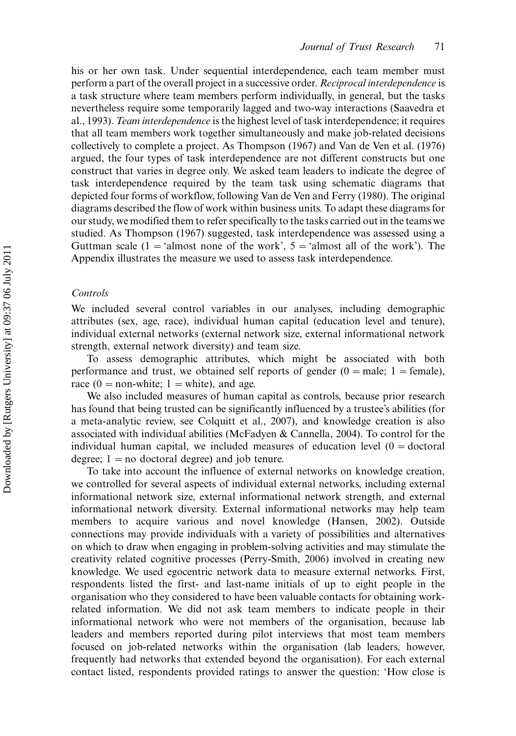his or her own task. Under sequential interdependence, each team member must perform a part of the overall project in a successive order. Reciprocal interdependence is a task structure where team members perform individually, in general, but the tasks nevertheless require some temporarily lagged and two-way interactions (Saavedra et al., 1993). Team interdependence is the highest level of task interdependence; it requires that all team members work together simultaneously and make job-related decisions collectively to complete a project. As Thompson (1967) and Van de Ven et al. (1976) argued, the four types of task interdependence are not different constructs but one construct that varies in degree only. We asked team leaders to indicate the degree of task interdependence required by the team task using schematic diagrams that depicted four forms of workflow, following Van de Ven and Ferry (1980). The original diagrams described the flow of work within business units. To adapt these diagrams for our study, we modified them to refer specifically to the tasks carried out in the teams we studied. As Thompson (1967) suggested, task interdependence was assessed using a Guttman scale  $(1 - \text{'almost none of the work', } 5 - \text{'almost all of the work'}).$  The Appendix illustrates the measure we used to assess task interdependence.

#### Controls

We included several control variables in our analyses, including demographic attributes (sex, age, race), individual human capital (education level and tenure), individual external networks (external network size, external informational network strength, external network diversity) and team size.

To assess demographic attributes, which might be associated with both performance and trust, we obtained self reports of gender  $(0 = \text{male}; 1 = \text{female}),$ race  $(0 =$  non-white;  $1 =$  white), and age.

We also included measures of human capital as controls, because prior research has found that being trusted can be significantly influenced by a trustee's abilities (for a meta-analytic review, see Colquitt et al., 2007), and knowledge creation is also associated with individual abilities (McFadyen & Cannella, 2004). To control for the individual human capital, we included measures of education level  $(0 =$  doctoral degree;  $1 =$  no doctoral degree) and job tenure.

To take into account the influence of external networks on knowledge creation, we controlled for several aspects of individual external networks, including external informational network size, external informational network strength, and external informational network diversity. External informational networks may help team members to acquire various and novel knowledge (Hansen, 2002). Outside connections may provide individuals with a variety of possibilities and alternatives on which to draw when engaging in problem-solving activities and may stimulate the creativity related cognitive processes (Perry-Smith, 2006) involved in creating new knowledge. We used egocentric network data to measure external networks. First, respondents listed the first- and last-name initials of up to eight people in the organisation who they considered to have been valuable contacts for obtaining workrelated information. We did not ask team members to indicate people in their informational network who were not members of the organisation, because lab leaders and members reported during pilot interviews that most team members focused on job-related networks within the organisation (lab leaders, however, frequently had networks that extended beyond the organisation). For each external contact listed, respondents provided ratings to answer the question: 'How close is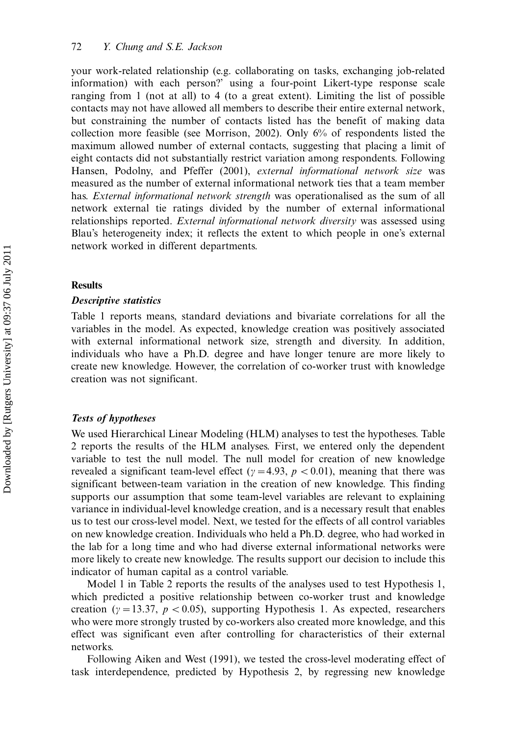your work-related relationship (e.g. collaborating on tasks, exchanging job-related information) with each person?' using a four-point Likert-type response scale ranging from 1 (not at all) to 4 (to a great extent). Limiting the list of possible contacts may not have allowed all members to describe their entire external network, but constraining the number of contacts listed has the benefit of making data collection more feasible (see Morrison, 2002). Only 6% of respondents listed the maximum allowed number of external contacts, suggesting that placing a limit of eight contacts did not substantially restrict variation among respondents. Following Hansen, Podolny, and Pfeffer (2001), external informational network size was measured as the number of external informational network ties that a team member has. External informational network strength was operationalised as the sum of all network external tie ratings divided by the number of external informational relationships reported. External informational network diversity was assessed using Blau's heterogeneity index; it reflects the extent to which people in one's external network worked in different departments.

#### Results

#### Descriptive statistics

Table 1 reports means, standard deviations and bivariate correlations for all the variables in the model. As expected, knowledge creation was positively associated with external informational network size, strength and diversity. In addition, individuals who have a Ph.D. degree and have longer tenure are more likely to create new knowledge. However, the correlation of co-worker trust with knowledge creation was not significant.

#### Tests of hypotheses

We used Hierarchical Linear Modeling (HLM) analyses to test the hypotheses. Table 2 reports the results of the HLM analyses. First, we entered only the dependent variable to test the null model. The null model for creation of new knowledge revealed a significant team-level effect ( $\gamma = 4.93$ ,  $p < 0.01$ ), meaning that there was significant between-team variation in the creation of new knowledge. This finding supports our assumption that some team-level variables are relevant to explaining variance in individual-level knowledge creation, and is a necessary result that enables us to test our cross-level model. Next, we tested for the effects of all control variables on new knowledge creation. Individuals who held a Ph.D. degree, who had worked in the lab for a long time and who had diverse external informational networks were more likely to create new knowledge. The results support our decision to include this indicator of human capital as a control variable.

Model 1 in Table 2 reports the results of the analyses used to test Hypothesis 1, which predicted a positive relationship between co-worker trust and knowledge creation ( $\gamma = 13.37$ ,  $p < 0.05$ ), supporting Hypothesis 1. As expected, researchers who were more strongly trusted by co-workers also created more knowledge, and this effect was significant even after controlling for characteristics of their external networks.

Following Aiken and West (1991), we tested the cross-level moderating effect of task interdependence, predicted by Hypothesis 2, by regressing new knowledge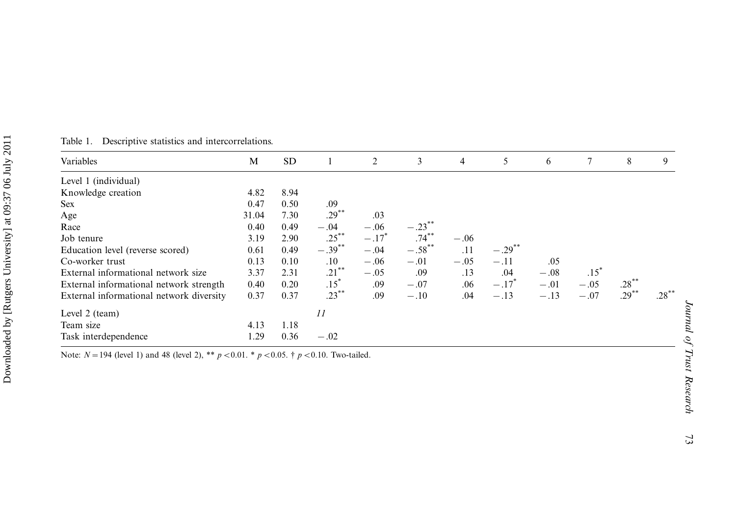| Variables                                | M     | <b>SD</b> |           | 2                   | 3         | 4      | 5         | 6      | 7      | 8        | 9        |
|------------------------------------------|-------|-----------|-----------|---------------------|-----------|--------|-----------|--------|--------|----------|----------|
| Level 1 (individual)                     |       |           |           |                     |           |        |           |        |        |          |          |
| Knowledge creation                       | 4.82  | 8.94      |           |                     |           |        |           |        |        |          |          |
| <b>Sex</b>                               | 0.47  | 0.50      | .09       |                     |           |        |           |        |        |          |          |
| Age                                      | 31.04 | 7.30      | $.29***$  | .03                 |           |        |           |        |        |          |          |
| Race                                     | 0.40  | 0.49      | $-.04$    | $-.06$              | $-.23$    |        |           |        |        |          |          |
| Job tenure                               | 3.19  | 2.90      | $.25***$  | $-.17$ <sup>*</sup> | $.74***$  | $-.06$ |           |        |        |          |          |
| Education level (reverse scored)         | 0.61  | 0.49      | $-.39***$ | $-.04$              | $-.58$ ** | .11    | $-.29***$ |        |        |          |          |
| Co-worker trust                          | 0.13  | 0.10      | .10       | $-.06$              | $-.01$    | $-.05$ | $-.11$    | .05    |        |          |          |
| External informational network size      | 3.37  | 2.31      | $.21***$  | $-.05$              | .09       | .13    | .04       | $-.08$ | $.15*$ |          |          |
| External informational network strength  | 0.40  | 0.20      | $.15*$    | .09                 | $-.07$    | .06    | $-.17$    | $-.01$ | $-.05$ | $.28***$ |          |
| External informational network diversity | 0.37  | 0.37      | $.23***$  | .09                 | $-.10$    | .04    | $-.13$    | $-.13$ | $-.07$ | $.29***$ | $.28***$ |
| Level 2 (team)                           |       |           | 11        |                     |           |        |           |        |        |          |          |
| Team size                                | 4.13  | 1.18      |           |                     |           |        |           |        |        |          |          |
| Task interdependence                     | 1.29  | 0.36      | $-.02$    |                     |           |        |           |        |        |          |          |

Table 1. Descriptive statistics and intercorrelations.

Note:  $N = 194$  (level 1) and 48 (level 2), \*\*  $p < 0.01$ . \*  $p < 0.05$ . †  $p < 0.10$ . Two-tailed.

Journal of Trust Research

Journal of Trust Research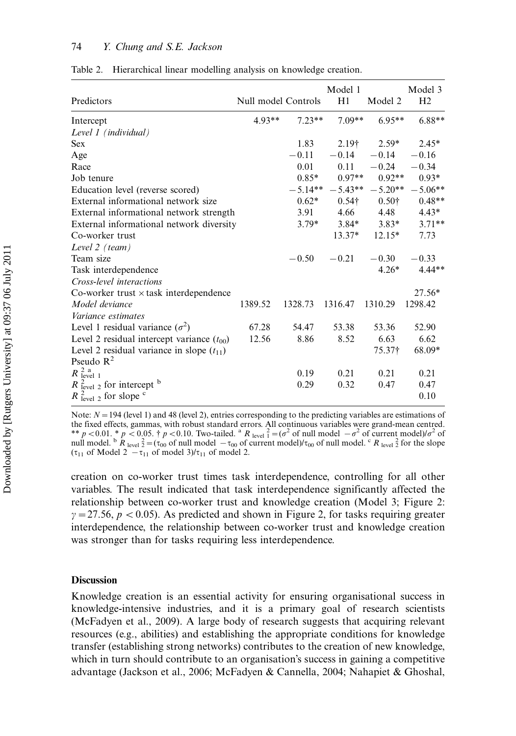| Predictors                                       | Null model Controls |           | Model 1<br>H1 | Model 2       | Model 3<br>H <sub>2</sub> |
|--------------------------------------------------|---------------------|-----------|---------------|---------------|---------------------------|
| Intercept                                        | $4.93**$            | $7.23**$  | $7.09**$      | $6.95**$      | $6.88**$                  |
| Level 1 (individual)                             |                     |           |               |               |                           |
| <b>Sex</b>                                       |                     | 1.83      | $2.19+$       | $2.59*$       | $2.45*$                   |
| Age                                              |                     | $-0.11$   | $-0.14$       | $-0.14$       | $-0.16$                   |
| Race                                             |                     | 0.01      | 0.11          | $-0.24$       | $-0.34$                   |
| Job tenure                                       |                     | $0.85*$   | $0.97**$      | $0.92**$      | $0.93*$                   |
| Education level (reverse scored)                 |                     | $-5.14**$ |               |               | $-5.43** -5.20** -5.06**$ |
| External informational network size              |                     | $0.62*$   | $0.54\dagger$ | $0.50\dagger$ | $0.48**$                  |
| External informational network strength          |                     | 3.91      | 4.66          | 4.48          | $4.43*$                   |
| External informational network diversity         |                     | $3.79*$   | $3.84*$       | $3.83*$       | $3.71**$                  |
| Co-worker trust                                  |                     |           | $13.37*$      | $12.15*$      | 7.73                      |
| Level 2 (team)                                   |                     |           |               |               |                           |
| Team size                                        |                     | $-0.50$   | $-0.21$       | $-0.30$       | $-0.33$                   |
| Task interdependence                             |                     |           |               | $4.26*$       | $4.44**$                  |
| Cross-level interactions                         |                     |           |               |               |                           |
| Co-worker trust $\times$ task interdependence    |                     |           |               |               | $27.56*$                  |
| Model deviance                                   | 1389.52             | 1328.73   | 1316.47       | 1310.29       | 1298.42                   |
| Variance estimates                               |                     |           |               |               |                           |
| Level 1 residual variance $(\sigma^2)$           | 67.28               | 54.47     | 53.38         | 53.36         | 52.90                     |
| Level 2 residual intercept variance $(t_{00})$   | 12.56               | 8.86      | 8.52          | 6.63          | 6.62                      |
| Level 2 residual variance in slope $(t_{11})$    |                     |           |               | 75.37†        | 68.09*                    |
| Pseudo $R^2$                                     |                     |           |               |               |                           |
| $R_{\text{level 1}}^{2 \text{ a}}$               |                     | 0.19      | 0.21          | 0.21          | 0.21                      |
| $R_{\text{level } 2}^2$ for intercept $^{\rm b}$ |                     | 0.29      | 0.32          | 0.47          | 0.47                      |
| $R_{\text{level } 2}^2$ for slope $\degree$      |                     |           |               |               | 0.10                      |

| Table 2. Hierarchical linear modelling analysis on knowledge creation. |  |  |  |
|------------------------------------------------------------------------|--|--|--|
|                                                                        |  |  |  |

Note:  $N = 194$  (level 1) and 48 (level 2), entries corresponding to the predicting variables are estimations of the fixed effects, gammas, with robust standard errors. All continuous variables were grand-mean centred. \*\* p < 0.01. \* p < 0.05.  $\dagger$  p < 0.10. Two-tailed. <sup>a</sup> R level  $\frac{2}{1} = (\sigma^2 \text{ of null model } -\sigma^2 \text{ of current model})/\sigma^2$  of null model.  $\sigma R_{\text{level}}^2 = (\tau_{00} \text{ of null model } - \tau_{00} \text{ of current model})/\tau_{00}$  of null model.  $\sigma R_{\text{level}}^2$  for the slope  $(\tau_{11}$  of Model 2  $-\tau_{11}$  of model 3)/ $\tau_{11}$  of model 2.

creation on co-worker trust times task interdependence, controlling for all other variables. The result indicated that task interdependence significantly affected the relationship between co-worker trust and knowledge creation (Model 3; Figure 2:  $\gamma$  = 27.56,  $p$  < 0.05). As predicted and shown in Figure 2, for tasks requiring greater interdependence, the relationship between co-worker trust and knowledge creation was stronger than for tasks requiring less interdependence.

#### **Discussion**

Knowledge creation is an essential activity for ensuring organisational success in knowledge-intensive industries, and it is a primary goal of research scientists (McFadyen et al., 2009). A large body of research suggests that acquiring relevant resources (e.g., abilities) and establishing the appropriate conditions for knowledge transfer (establishing strong networks) contributes to the creation of new knowledge, which in turn should contribute to an organisation's success in gaining a competitive advantage (Jackson et al., 2006; McFadyen & Cannella, 2004; Nahapiet & Ghoshal,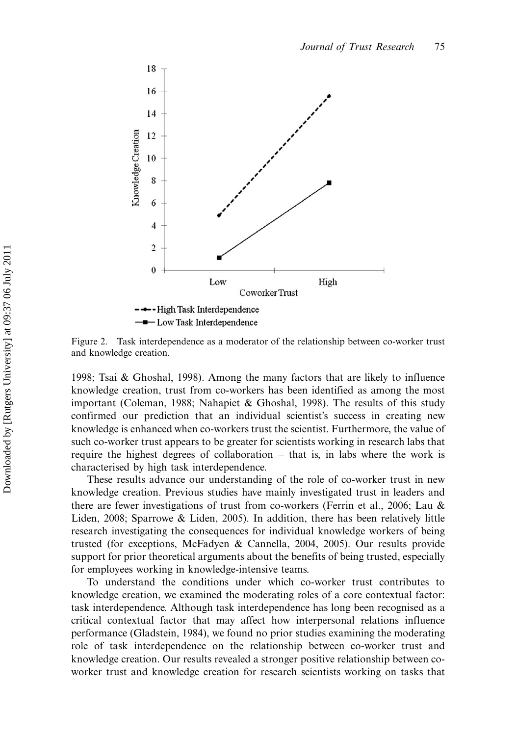

Figure 2. Task interdependence as a moderator of the relationship between co-worker trust and knowledge creation.

1998; Tsai & Ghoshal, 1998). Among the many factors that are likely to influence knowledge creation, trust from co-workers has been identified as among the most important (Coleman, 1988; Nahapiet & Ghoshal, 1998). The results of this study confirmed our prediction that an individual scientist's success in creating new knowledge is enhanced when co-workers trust the scientist. Furthermore, the value of such co-worker trust appears to be greater for scientists working in research labs that require the highest degrees of collaboration - that is, in labs where the work is characterised by high task interdependence.

These results advance our understanding of the role of co-worker trust in new knowledge creation. Previous studies have mainly investigated trust in leaders and there are fewer investigations of trust from co-workers (Ferrin et al., 2006; Lau & Liden, 2008; Sparrowe & Liden, 2005). In addition, there has been relatively little research investigating the consequences for individual knowledge workers of being trusted (for exceptions, McFadyen & Cannella, 2004, 2005). Our results provide support for prior theoretical arguments about the benefits of being trusted, especially for employees working in knowledge-intensive teams.

To understand the conditions under which co-worker trust contributes to knowledge creation, we examined the moderating roles of a core contextual factor: task interdependence. Although task interdependence has long been recognised as a critical contextual factor that may affect how interpersonal relations influence performance (Gladstein, 1984), we found no prior studies examining the moderating role of task interdependence on the relationship between co-worker trust and knowledge creation. Our results revealed a stronger positive relationship between coworker trust and knowledge creation for research scientists working on tasks that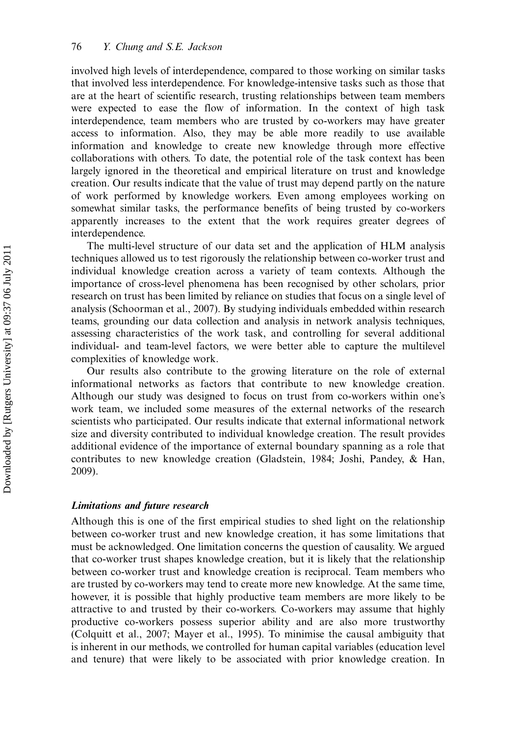involved high levels of interdependence, compared to those working on similar tasks that involved less interdependence. For knowledge-intensive tasks such as those that are at the heart of scientific research, trusting relationships between team members were expected to ease the flow of information. In the context of high task interdependence, team members who are trusted by co-workers may have greater access to information. Also, they may be able more readily to use available information and knowledge to create new knowledge through more effective collaborations with others. To date, the potential role of the task context has been largely ignored in the theoretical and empirical literature on trust and knowledge creation. Our results indicate that the value of trust may depend partly on the nature of work performed by knowledge workers. Even among employees working on somewhat similar tasks, the performance benefits of being trusted by co-workers apparently increases to the extent that the work requires greater degrees of interdependence.

The multi-level structure of our data set and the application of HLM analysis techniques allowed us to test rigorously the relationship between co-worker trust and individual knowledge creation across a variety of team contexts. Although the importance of cross-level phenomena has been recognised by other scholars, prior research on trust has been limited by reliance on studies that focus on a single level of analysis (Schoorman et al., 2007). By studying individuals embedded within research teams, grounding our data collection and analysis in network analysis techniques, assessing characteristics of the work task, and controlling for several additional individual- and team-level factors, we were better able to capture the multilevel complexities of knowledge work.

Our results also contribute to the growing literature on the role of external informational networks as factors that contribute to new knowledge creation. Although our study was designed to focus on trust from co-workers within one's work team, we included some measures of the external networks of the research scientists who participated. Our results indicate that external informational network size and diversity contributed to individual knowledge creation. The result provides additional evidence of the importance of external boundary spanning as a role that contributes to new knowledge creation (Gladstein, 1984; Joshi, Pandey, & Han, 2009).

#### Limitations and future research

Although this is one of the first empirical studies to shed light on the relationship between co-worker trust and new knowledge creation, it has some limitations that must be acknowledged. One limitation concerns the question of causality. We argued that co-worker trust shapes knowledge creation, but it is likely that the relationship between co-worker trust and knowledge creation is reciprocal. Team members who are trusted by co-workers may tend to create more new knowledge. At the same time, however, it is possible that highly productive team members are more likely to be attractive to and trusted by their co-workers. Co-workers may assume that highly productive co-workers possess superior ability and are also more trustworthy (Colquitt et al., 2007; Mayer et al., 1995). To minimise the causal ambiguity that is inherent in our methods, we controlled for human capital variables (education level and tenure) that were likely to be associated with prior knowledge creation. In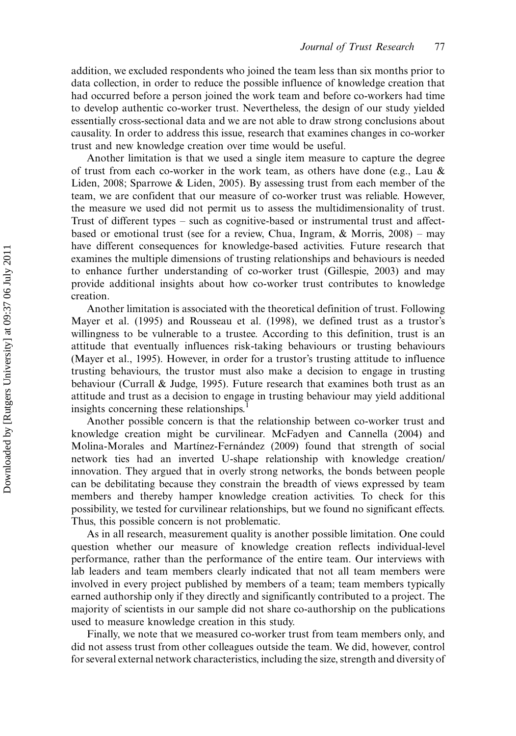addition, we excluded respondents who joined the team less than six months prior to data collection, in order to reduce the possible influence of knowledge creation that had occurred before a person joined the work team and before co-workers had time to develop authentic co-worker trust. Nevertheless, the design of our study yielded essentially cross-sectional data and we are not able to draw strong conclusions about causality. In order to address this issue, research that examines changes in co-worker trust and new knowledge creation over time would be useful.

Another limitation is that we used a single item measure to capture the degree of trust from each co-worker in the work team, as others have done (e.g., Lau  $\&$ Liden, 2008; Sparrowe & Liden, 2005). By assessing trust from each member of the team, we are confident that our measure of co-worker trust was reliable. However, the measure we used did not permit us to assess the multidimensionality of trust. Trust of different types  $-$  such as cognitive-based or instrumental trust and affectbased or emotional trust (see for a review, Chua, Ingram,  $\&$  Morris, 2008) – may have different consequences for knowledge-based activities. Future research that examines the multiple dimensions of trusting relationships and behaviours is needed to enhance further understanding of co-worker trust (Gillespie, 2003) and may provide additional insights about how co-worker trust contributes to knowledge creation.

Another limitation is associated with the theoretical definition of trust. Following Mayer et al. (1995) and Rousseau et al. (1998), we defined trust as a trustor's willingness to be vulnerable to a trustee. According to this definition, trust is an attitude that eventually influences risk-taking behaviours or trusting behaviours (Mayer et al., 1995). However, in order for a trustor's trusting attitude to influence trusting behaviours, the trustor must also make a decision to engage in trusting behaviour (Currall & Judge, 1995). Future research that examines both trust as an attitude and trust as a decision to engage in trusting behaviour may yield additional insights concerning these relationships.<sup>1</sup>

Another possible concern is that the relationship between co-worker trust and knowledge creation might be curvilinear. McFadyen and Cannella (2004) and Molina-Morales and Martinez-Fernandez (2009) found that strength of social network ties had an inverted U-shape relationship with knowledge creation/ innovation. They argued that in overly strong networks, the bonds between people can be debilitating because they constrain the breadth of views expressed by team members and thereby hamper knowledge creation activities. To check for this possibility, we tested for curvilinear relationships, but we found no significant effects. Thus, this possible concern is not problematic.

As in all research, measurement quality is another possible limitation. One could question whether our measure of knowledge creation reflects individual-level performance, rather than the performance of the entire team. Our interviews with lab leaders and team members clearly indicated that not all team members were involved in every project published by members of a team; team members typically earned authorship only if they directly and significantly contributed to a project. The majority of scientists in our sample did not share co-authorship on the publications used to measure knowledge creation in this study.

Finally, we note that we measured co-worker trust from team members only, and did not assess trust from other colleagues outside the team. We did, however, control for several external network characteristics, including the size, strength and diversity of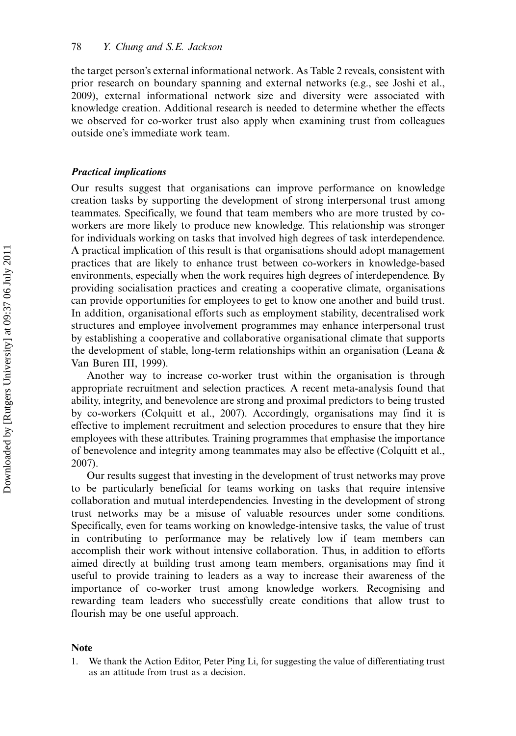the target person's external informational network. As Table 2 reveals, consistent with prior research on boundary spanning and external networks (e.g., see Joshi et al., 2009), external informational network size and diversity were associated with knowledge creation. Additional research is needed to determine whether the effects we observed for co-worker trust also apply when examining trust from colleagues outside one's immediate work team.

#### Practical implications

Our results suggest that organisations can improve performance on knowledge creation tasks by supporting the development of strong interpersonal trust among teammates. Specifically, we found that team members who are more trusted by coworkers are more likely to produce new knowledge. This relationship was stronger for individuals working on tasks that involved high degrees of task interdependence. A practical implication of this result is that organisations should adopt management practices that are likely to enhance trust between co-workers in knowledge-based environments, especially when the work requires high degrees of interdependence. By providing socialisation practices and creating a cooperative climate, organisations can provide opportunities for employees to get to know one another and build trust. In addition, organisational efforts such as employment stability, decentralised work structures and employee involvement programmes may enhance interpersonal trust by establishing a cooperative and collaborative organisational climate that supports the development of stable, long-term relationships within an organisation (Leana & Van Buren III, 1999).

Another way to increase co-worker trust within the organisation is through appropriate recruitment and selection practices. A recent meta-analysis found that ability, integrity, and benevolence are strong and proximal predictors to being trusted by co-workers (Colquitt et al., 2007). Accordingly, organisations may find it is effective to implement recruitment and selection procedures to ensure that they hire employees with these attributes. Training programmes that emphasise the importance of benevolence and integrity among teammates may also be effective (Colquitt et al., 2007).

Our results suggest that investing in the development of trust networks may prove to be particularly beneficial for teams working on tasks that require intensive collaboration and mutual interdependencies. Investing in the development of strong trust networks may be a misuse of valuable resources under some conditions. Specifically, even for teams working on knowledge-intensive tasks, the value of trust in contributing to performance may be relatively low if team members can accomplish their work without intensive collaboration. Thus, in addition to efforts aimed directly at building trust among team members, organisations may find it useful to provide training to leaders as a way to increase their awareness of the importance of co-worker trust among knowledge workers. Recognising and rewarding team leaders who successfully create conditions that allow trust to flourish may be one useful approach.

#### Note

1. We thank the Action Editor, Peter Ping Li, for suggesting the value of differentiating trust as an attitude from trust as a decision.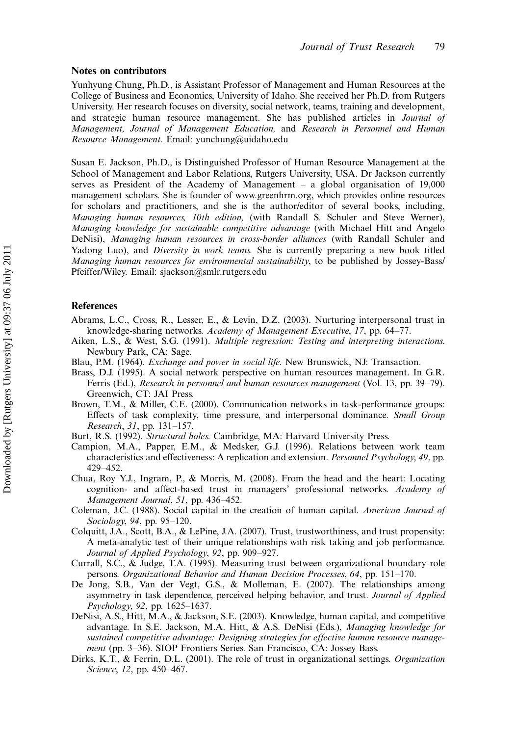#### Notes on contributors

Yunhyung Chung, Ph.D., is Assistant Professor of Management and Human Resources at the College of Business and Economics, University of Idaho. She received her Ph.D. from Rutgers University. Her research focuses on diversity, social network, teams, training and development, and strategic human resource management. She has published articles in Journal of Management, Journal of Management Education, and Research in Personnel and Human Resource Management. Email: yunchung@uidaho.edu

Susan E. Jackson, Ph.D., is Distinguished Professor of Human Resource Management at the School of Management and Labor Relations, Rutgers University, USA. Dr Jackson currently serves as President of the Academy of Management  $-$  a global organisation of 19,000 management scholars. She is founder of www.greenhrm.org, which provides online resources for scholars and practitioners, and she is the author/editor of several books, including, Managing human resources, 10th edition, (with Randall S. Schuler and Steve Werner), Managing knowledge for sustainable competitive advantage (with Michael Hitt and Angelo DeNisi), Managing human resources in cross-border alliances (with Randall Schuler and Yadong Luo), and *Diversity in work teams*. She is currently preparing a new book titled Managing human resources for environmental sustainability, to be published by Jossey-Bass/ Pfeiffer/Wiley. Email: sjackson@smlr.rutgers.edu

#### **References**

- Abrams, L.C., Cross, R., Lesser, E., & Levin, D.Z. (2003). Nurturing interpersonal trust in knowledge-sharing networks. Academy of Management Executive, 17, pp. 64–77.
- Aiken, L.S., & West, S.G. (1991). Multiple regression: Testing and interpreting interactions. Newbury Park, CA: Sage.
- Blau, P.M. (1964). Exchange and power in social life. New Brunswick, NJ: Transaction.
- Brass, D.J. (1995). A social network perspective on human resources management. In G.R. Ferris (Ed.), Research in personnel and human resources management (Vol. 13, pp. 39–79). Greenwich, CT: JAI Press.
- Brown, T.M., & Miller, C.E. (2000). Communication networks in task-performance groups: Effects of task complexity, time pressure, and interpersonal dominance. Small Group *Research*, 31, pp.  $131-157$ .
- Burt, R.S. (1992). Structural holes. Cambridge, MA: Harvard University Press.
- Campion, M.A., Papper, E.M., & Medsker, G.J. (1996). Relations between work team characteristics and effectiveness: A replication and extension. Personnel Psychology, 49, pp. 429452.
- Chua, Roy Y.J., Ingram, P., & Morris, M. (2008). From the head and the heart: Locating cognition- and affect-based trust in managers' professional networks. Academy of Management Journal,  $51$ , pp. 436–452.
- Coleman, J.C. (1988). Social capital in the creation of human capital. American Journal of Sociology, 94, pp.  $95-120$ .
- Colquitt, J.A., Scott, B.A., & LePine, J.A. (2007). Trust, trustworthiness, and trust propensity: A meta-analytic test of their unique relationships with risk taking and job performance. Journal of Applied Psychology, 92, pp. 909-927.
- Currall, S.C., & Judge, T.A. (1995). Measuring trust between organizational boundary role persons. Organizational Behavior and Human Decision Processes, 64, pp. 151-170.
- De Jong, S.B., Van der Vegt, G.S., & Molleman, E. (2007). The relationships among asymmetry in task dependence, perceived helping behavior, and trust. Journal of Applied *Psychology*, 92, pp. 1625–1637.
- DeNisi, A.S., Hitt, M.A., & Jackson, S.E. (2003). Knowledge, human capital, and competitive advantage. In S.E. Jackson, M.A. Hitt, & A.S. DeNisi (Eds.), Managing knowledge for sustained competitive advantage: Designing strategies for effective human resource management (pp. 3-36). SIOP Frontiers Series. San Francisco, CA: Jossey Bass.
- Dirks, K.T., & Ferrin, D.L. (2001). The role of trust in organizational settings. *Organization* Science, 12, pp. 450-467.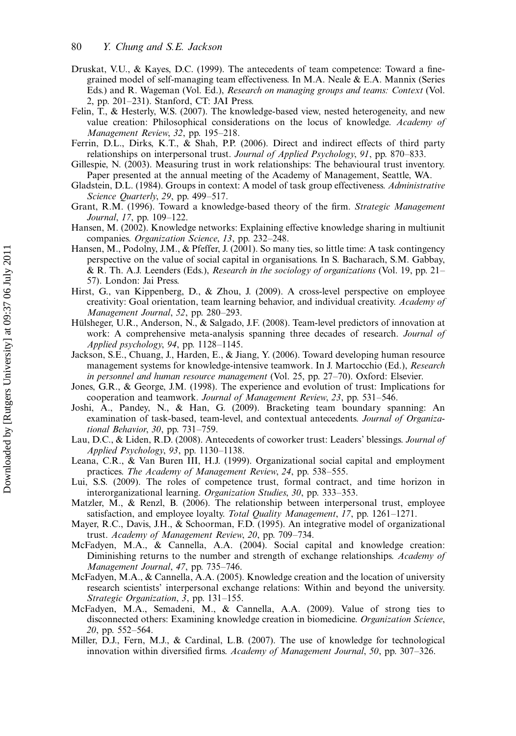- Druskat, V.U., & Kayes, D.C. (1999). The antecedents of team competence: Toward a finegrained model of self-managing team effectiveness. In M.A. Neale & E.A. Mannix (Series Eds.) and R. Wageman (Vol. Ed.), Research on managing groups and teams: Context (Vol. 2, pp. 201-231). Stanford, CT: JAI Press.
- Felin, T., & Hesterly, W.S. (2007). The knowledge-based view, nested heterogeneity, and new value creation: Philosophical considerations on the locus of knowledge. Academy of Management Review, 32, pp. 195-218.
- Ferrin, D.L., Dirks, K.T., & Shah, P.P. (2006). Direct and indirect effects of third party relationships on interpersonal trust. Journal of Applied Psychology, 91, pp. 870–833.
- Gillespie, N. (2003). Measuring trust in work relationships: The behavioural trust inventory. Paper presented at the annual meeting of the Academy of Management, Seattle, WA.
- Gladstein, D.L. (1984). Groups in context: A model of task group effectiveness. Administrative Science Quarterly, 29, pp. 499-517.
- Grant, R.M. (1996). Toward a knowledge-based theory of the firm. Strategic Management Journal, 17, pp. 109-122.
- Hansen, M. (2002). Knowledge networks: Explaining effective knowledge sharing in multiunit companies. Organization Science, 13, pp. 232-248.
- Hansen, M., Podolny, J.M., & Pfeffer, J. (2001). So many ties, so little time: A task contingency perspective on the value of social capital in organisations. In S. Bacharach, S.M. Gabbay, & R. Th. A.J. Leenders (Eds.), Research in the sociology of organizations (Vol. 19, pp. 21 57). London: Jai Press.
- Hirst, G., van Kippenberg, D., & Zhou, J. (2009). A cross-level perspective on employee creativity: Goal orientation, team learning behavior, and individual creativity. Academy of Management Journal, 52, pp. 280-293.
- Hülsheger, U.R., Anderson, N., & Salgado, J.F. (2008). Team-level predictors of innovation at work: A comprehensive meta-analysis spanning three decades of research. Journal of Applied psychology, 94, pp. 1128-1145.
- Jackson, S.E., Chuang, J., Harden, E., & Jiang, Y. (2006). Toward developing human resource management systems for knowledge-intensive teamwork. In J. Martocchio (Ed.), Research in personnel and human resource management (Vol. 25, pp.  $27-70$ ). Oxford: Elsevier.
- Jones, G.R., & George, J.M. (1998). The experience and evolution of trust: Implications for cooperation and teamwork. Journal of Management Review, 23, pp. 531-546.
- Joshi, A., Pandey, N., & Han, G. (2009). Bracketing team boundary spanning: An examination of task-based, team-level, and contextual antecedents. Journal of Organizational Behavior, 30, pp.  $731-759$ .
- Lau, D.C., & Liden, R.D. (2008). Antecedents of coworker trust: Leaders' blessings. Journal of Applied Psychology, 93, pp.  $1130-1138$ .
- Leana, C.R., & Van Buren III, H.J. (1999). Organizational social capital and employment practices. The Academy of Management Review, 24, pp. 538-555.
- Lui, S.S. (2009). The roles of competence trust, formal contract, and time horizon in interorganizational learning. *Organization Studies*, 30, pp. 333–353.
- Matzler, M., & Renzl, B. (2006). The relationship between interpersonal trust, employee satisfaction, and employee loyalty. Total Quality Management, 17, pp. 1261-1271.
- Mayer, R.C., Davis, J.H., & Schoorman, F.D. (1995). An integrative model of organizational trust. Academy of Management Review, 20, pp. 709-734.
- McFadyen, M.A., & Cannella, A.A. (2004). Social capital and knowledge creation: Diminishing returns to the number and strength of exchange relationships. Academy of Management Journal, 47, pp. 735-746.
- McFadyen, M.A., & Cannella, A.A. (2005). Knowledge creation and the location of university research scientists' interpersonal exchange relations: Within and beyond the university. Strategic Organization, 3, pp. 131-155.
- McFadyen, M.A., Semadeni, M., & Cannella, A.A. (2009). Value of strong ties to disconnected others: Examining knowledge creation in biomedicine. Organization Science, 20, pp. 552-564.
- Miller, D.J., Fern, M.J., & Cardinal, L.B. (2007). The use of knowledge for technological innovation within diversified firms. Academy of Management Journal, 50, pp. 307-326.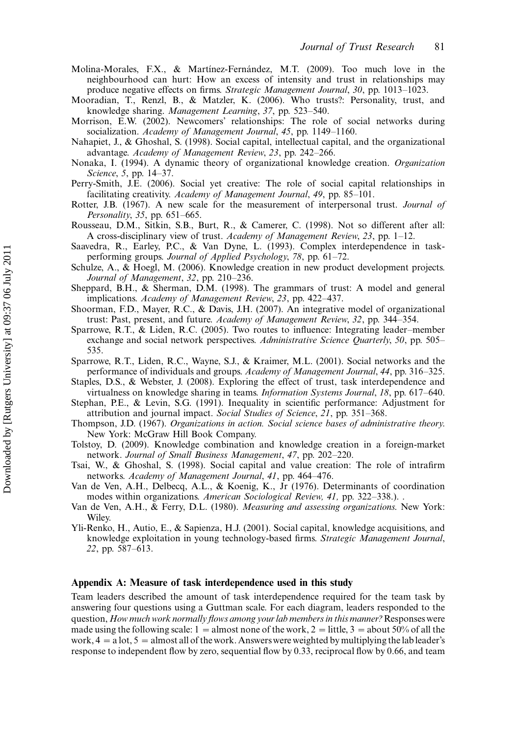- Molina-Morales, F.X., & Martínez-Fernández, M.T. (2009). Too much love in the neighbourhood can hurt: How an excess of intensity and trust in relationships may produce negative effects on firms. Strategic Management Journal,  $30$ , pp. 1013-1023.
- Mooradian, T., Renzl, B., & Matzler, K. (2006). Who trusts?: Personality, trust, and knowledge sharing. Management Learning, 37, pp. 523-540.
- Morrison, E.W. (2002). Newcomers' relationships: The role of social networks during socialization. Academy of Management Journal, 45, pp. 1149-1160.
- Nahapiet, J., & Ghoshal, S. (1998). Social capital, intellectual capital, and the organizational advantage. Academy of Management Review, 23, pp. 242-266.
- Nonaka, I. (1994). A dynamic theory of organizational knowledge creation. Organization Science, 5, pp. 14–37.
- Perry-Smith, J.E. (2006). Social yet creative: The role of social capital relationships in facilitating creativity. Academy of Management Journal, 49, pp. 85–101.
- Rotter, J.B. (1967). A new scale for the measurement of interpersonal trust. Journal of Personality,  $35$ , pp.  $651-665$ .
- Rousseau, D.M., Sitkin, S.B., Burt, R., & Camerer, C. (1998). Not so different after all: A cross-disciplinary view of trust. Academy of Management Review, 23, pp. 1-12.
- Saavedra, R., Earley, P.C., & Van Dyne, L. (1993). Complex interdependence in taskperforming groups. Journal of Applied Psychology, 78, pp.  $61-72$ .
- Schulze, A., & Hoegl, M. (2006). Knowledge creation in new product development projects. Journal of Management,  $32$ , pp.  $210-236$ .
- Sheppard, B.H., & Sherman, D.M. (1998). The grammars of trust: A model and general implications. Academy of Management Review, 23, pp. 422-437.
- Shoorman, F.D., Mayer, R.C., & Davis, J.H. (2007). An integrative model of organizational trust: Past, present, and future. Academy of Management Review, 32, pp. 344-354.
- Sparrowe, R.T., & Liden, R.C. (2005). Two routes to influence: Integrating leader-member exchange and social network perspectives. Administrative Science Quarterly, 50, pp. 505– 535.
- Sparrowe, R.T., Liden, R.C., Wayne, S.J., & Kraimer, M.L. (2001). Social networks and the performance of individuals and groups. Academy of Management Journal, 44, pp. 316–325.
- Staples, D.S., & Webster, J. (2008). Exploring the effect of trust, task interdependence and virtualness on knowledge sharing in teams. Information Systems Journal, 18, pp. 617–640.
- Stephan, P.E., & Levin, S.G. (1991). Inequality in scientific performance: Adjustment for attribution and journal impact. Social Studies of Science, 21, pp. 351-368.
- Thompson, J.D. (1967). Organizations in action. Social science bases of administrative theory. New York: McGraw Hill Book Company.
- Tolstoy, D. (2009). Knowledge combination and knowledge creation in a foreign-market network. Journal of Small Business Management, 47, pp. 202–220.
- Tsai, W., & Ghoshal, S. (1998). Social capital and value creation: The role of intrafirm networks. Academy of Management Journal, 41, pp. 464-476.
- Van de Ven, A.H., Delbecq, A.L., & Koenig, K., Jr (1976). Determinants of coordination modes within organizations. American Sociological Review, 41, pp. 322-338.). .
- Van de Ven, A.H., & Ferry, D.L. (1980). Measuring and assessing organizations. New York: Wiley.
- Yli-Renko, H., Autio, E., & Sapienza, H.J. (2001). Social capital, knowledge acquisitions, and knowledge exploitation in young technology-based firms. Strategic Management Journal, 22, pp. 587–613.

#### Appendix A: Measure of task interdependence used in this study

Team leaders described the amount of task interdependence required for the team task by answering four questions using a Guttman scale. For each diagram, leaders responded to the question, How much work normally flows among your lab members in this manner? Responses were made using the following scale:  $1 =$  almost none of the work,  $2 =$  little,  $3 =$  about  $50\%$  of all the work,  $4 = a$  lot,  $5 =$  almost all of the work. Answers were weighted by multiplying the lab leader's response to independent flow by zero, sequential flow by 0.33, reciprocal flow by 0.66, and team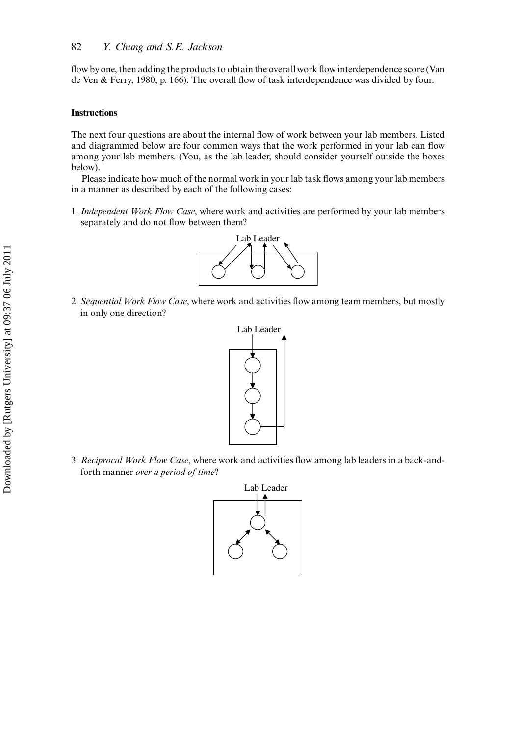flow byone, then adding the products to obtain the overall work flow interdependence score (Van de Ven & Ferry, 1980, p. 166). The overall flow of task interdependence was divided by four.

#### Instructions

The next four questions are about the internal flow of work between your lab members. Listed and diagrammed below are four common ways that the work performed in your lab can flow among your lab members. (You, as the lab leader, should consider yourself outside the boxes below).

Please indicate how much of the normal work in your lab task flows among your lab members in a manner as described by each of the following cases:

1. Independent Work Flow Case, where work and activities are performed by your lab members separately and do not flow between them?



2. Sequential Work Flow Case, where work and activities flow among team members, but mostly in only one direction?



3. Reciprocal Work Flow Case, where work and activities flow among lab leaders in a back-andforth manner over a period of time?